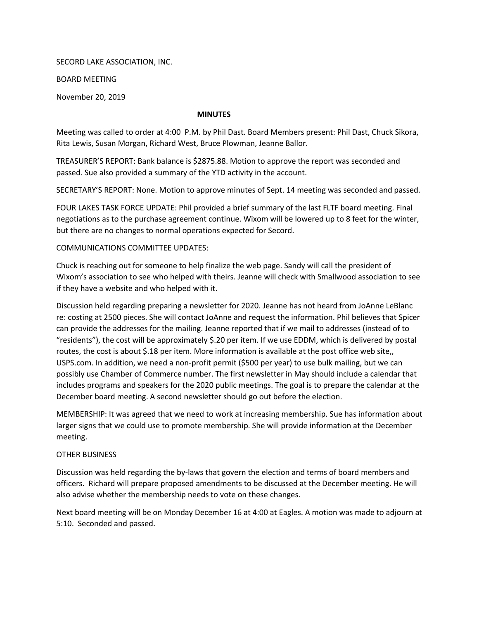SECORD LAKE ASSOCIATION, INC.

BOARD MEETING

November 20, 2019

## MINUTES

Meeting was called to order at 4:00 P.M. by Phil Dast. Board Members present: Phil Dast, Chuck Sikora, Rita Lewis, Susan Morgan, Richard West, Bruce Plowman, Jeanne Ballor.

TREASURER'S REPORT: Bank balance is \$2875.88. Motion to approve the report was seconded and passed. Sue also provided a summary of the YTD activity in the account.

SECRETARY'S REPORT: None. Motion to approve minutes of Sept. 14 meeting was seconded and passed.

FOUR LAKES TASK FORCE UPDATE: Phil provided a brief summary of the last FLTF board meeting. Final negotiations as to the purchase agreement continue. Wixom will be lowered up to 8 feet for the winter, but there are no changes to normal operations expected for Secord.

## COMMUNICATIONS COMMITTEE UPDATES:

Chuck is reaching out for someone to help finalize the web page. Sandy will call the president of Wixom's association to see who helped with theirs. Jeanne will check with Smallwood association to see if they have a website and who helped with it.

Discussion held regarding preparing a newsletter for 2020. Jeanne has not heard from JoAnne LeBlanc re: costing at 2500 pieces. She will contact JoAnne and request the information. Phil believes that Spicer can provide the addresses for the mailing. Jeanne reported that if we mail to addresses (instead of to "residents"), the cost will be approximately \$.20 per item. If we use EDDM, which is delivered by postal routes, the cost is about \$.18 per item. More information is available at the post office web site,, USPS.com. In addition, we need a non-profit permit (\$500 per year) to use bulk mailing, but we can possibly use Chamber of Commerce number. The first newsletter in May should include a calendar that includes programs and speakers for the 2020 public meetings. The goal is to prepare the calendar at the December board meeting. A second newsletter should go out before the election.

MEMBERSHIP: It was agreed that we need to work at increasing membership. Sue has information about larger signs that we could use to promote membership. She will provide information at the December meeting.

## OTHER BUSINESS

Discussion was held regarding the by-laws that govern the election and terms of board members and officers. Richard will prepare proposed amendments to be discussed at the December meeting. He will also advise whether the membership needs to vote on these changes.

Next board meeting will be on Monday December 16 at 4:00 at Eagles. A motion was made to adjourn at 5:10. Seconded and passed.